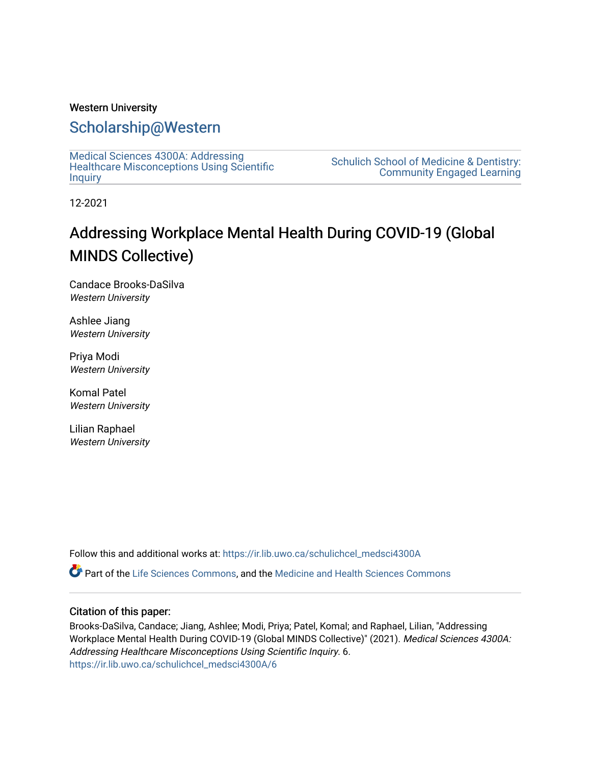### Western University

### [Scholarship@Western](https://ir.lib.uwo.ca/)

[Medical Sciences 4300A: Addressing](https://ir.lib.uwo.ca/schulichcel_medsci4300A)  [Healthcare Misconceptions Using Scientific](https://ir.lib.uwo.ca/schulichcel_medsci4300A) **[Inquiry](https://ir.lib.uwo.ca/schulichcel_medsci4300A)** 

[Schulich School of Medicine & Dentistry:](https://ir.lib.uwo.ca/schulichcel)  [Community Engaged Learning](https://ir.lib.uwo.ca/schulichcel) 

12-2021

### Addressing Workplace Mental Health During COVID-19 (Global MINDS Collective)

Candace Brooks-DaSilva Western University

Ashlee Jiang Western University

Priya Modi Western University

Komal Patel Western University

Lilian Raphael Western University

Follow this and additional works at: [https://ir.lib.uwo.ca/schulichcel\\_medsci4300A](https://ir.lib.uwo.ca/schulichcel_medsci4300A?utm_source=ir.lib.uwo.ca%2Fschulichcel_medsci4300A%2F6&utm_medium=PDF&utm_campaign=PDFCoverPages)

Part of the [Life Sciences Commons,](http://network.bepress.com/hgg/discipline/1016?utm_source=ir.lib.uwo.ca%2Fschulichcel_medsci4300A%2F6&utm_medium=PDF&utm_campaign=PDFCoverPages) and the [Medicine and Health Sciences Commons](http://network.bepress.com/hgg/discipline/648?utm_source=ir.lib.uwo.ca%2Fschulichcel_medsci4300A%2F6&utm_medium=PDF&utm_campaign=PDFCoverPages)

### Citation of this paper:

Brooks-DaSilva, Candace; Jiang, Ashlee; Modi, Priya; Patel, Komal; and Raphael, Lilian, "Addressing Workplace Mental Health During COVID-19 (Global MINDS Collective)" (2021). Medical Sciences 4300A: Addressing Healthcare Misconceptions Using Scientific Inquiry. 6. [https://ir.lib.uwo.ca/schulichcel\\_medsci4300A/6](https://ir.lib.uwo.ca/schulichcel_medsci4300A/6?utm_source=ir.lib.uwo.ca%2Fschulichcel_medsci4300A%2F6&utm_medium=PDF&utm_campaign=PDFCoverPages)